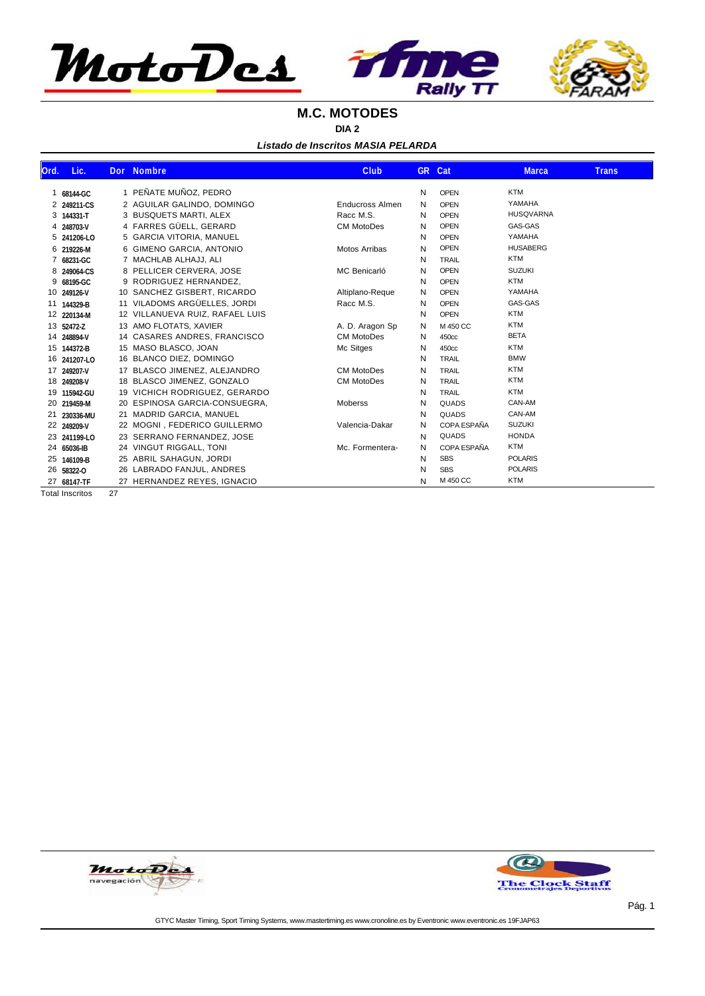

#### **M.C. MOTODES**

**DIA 2**

*Listado de Inscritos MASIA PELARDA*

| Ord. | Lic.         | <b>Dor</b> | <b>Nombre</b>                   | <b>Club</b>            | GR. | Cat          | <b>Marca</b>     | <b>Trans</b> |
|------|--------------|------------|---------------------------------|------------------------|-----|--------------|------------------|--------------|
| 1    | 68144-GC     |            | 1 PEÑATE MUÑOZ, PEDRO           |                        | N   | <b>OPEN</b>  | <b>KTM</b>       |              |
|      | 2 249211-CS  |            | 2 AGUILAR GALINDO, DOMINGO      | <b>Enducross Almen</b> | N   | <b>OPEN</b>  | YAMAHA           |              |
| 3    | 144331-T     |            | 3 BUSQUETS MARTI, ALEX          | Racc M.S.              | N   | <b>OPEN</b>  | <b>HUSQVARNA</b> |              |
|      | 4 248703-V   |            | 4 FARRES GÜELL, GERARD          | <b>CM MotoDes</b>      | N   | <b>OPEN</b>  | GAS-GAS          |              |
| 5    | 241206-LO    |            | 5 GARCIA VITORIA, MANUEL        |                        | N   | <b>OPEN</b>  | YAMAHA           |              |
|      | 6 219226-M   |            | 6 GIMENO GARCIA, ANTONIO        | <b>Motos Arribas</b>   | N   | <b>OPEN</b>  | <b>HUSABERG</b>  |              |
|      | 68231-GC     |            | 7 MACHLAB ALHAJJ, ALI           |                        | N   | <b>TRAIL</b> | <b>KTM</b>       |              |
| 8    | 249064-CS    |            | 8 PELLICER CERVERA, JOSE        | MC Benicarló           | N   | <b>OPEN</b>  | <b>SUZUKI</b>    |              |
| 9    | 68195-GC     |            | 9 RODRIGUEZ HERNANDEZ,          |                        | N   | <b>OPEN</b>  | <b>KTM</b>       |              |
|      | 10 249126-V  |            | 10 SANCHEZ GISBERT, RICARDO     | Altiplano-Reque        | N   | <b>OPEN</b>  | YAMAHA           |              |
|      | 11 144329-B  |            | 11 VILADOMS ARGÜELLES, JORDI    | Racc M.S.              | N   | <b>OPEN</b>  | GAS-GAS          |              |
|      | 12 220134-M  |            | 12 VILLANUEVA RUIZ, RAFAEL LUIS |                        | N   | <b>OPEN</b>  | <b>KTM</b>       |              |
|      | 13 52472-Z   |            | 13 AMO FLOTATS, XAVIER          | A. D. Aragon Sp        | N   | M 450 CC     | <b>KTM</b>       |              |
|      | 14 248894-V  |            | 14 CASARES ANDRES, FRANCISCO    | <b>CM MotoDes</b>      | N   | 450cc        | <b>BETA</b>      |              |
|      | 15 144372-B  |            | 15 MASO BLASCO, JOAN            | Mc Sitges              | N   | 450cc        | <b>KTM</b>       |              |
|      | 16 241207-LO |            | 16 BLANCO DIEZ, DOMINGO         |                        | N   | <b>TRAIL</b> | <b>BMW</b>       |              |
|      | 17 249207-V  |            | 17 BLASCO JIMENEZ, ALEJANDRO    | <b>CM MotoDes</b>      | N   | <b>TRAIL</b> | <b>KTM</b>       |              |
|      | 18 249208-V  |            | 18 BLASCO JIMENEZ, GONZALO      | <b>CM MotoDes</b>      | N   | <b>TRAIL</b> | <b>KTM</b>       |              |
|      | 19 115942-GU |            | 19 VICHICH RODRIGUEZ, GERARDO   |                        | N   | <b>TRAIL</b> | <b>KTM</b>       |              |
|      | 20 219459-M  |            | 20 ESPINOSA GARCIA-CONSUEGRA,   | Moberss                | N   | <b>QUADS</b> | CAN-AM           |              |
| 21   | 230336-MU    |            | 21 MADRID GARCIA, MANUEL        |                        | N   | <b>QUADS</b> | CAN-AM           |              |
|      | 22 249209-V  |            | 22 MOGNI, FEDERICO GUILLERMO    | Valencia-Dakar         | N   | COPA ESPAÑA  | <b>SUZUKI</b>    |              |
|      | 23 241199-LO |            | 23 SERRANO FERNANDEZ, JOSE      |                        | N   | QUADS        | <b>HONDA</b>     |              |
|      | 24 65036-IB  |            | 24 VINGUT RIGGALL, TONI         | Mc. Formentera-        | N   | COPA ESPAÑA  | <b>KTM</b>       |              |
|      | 25 146109-B  |            | 25 ABRIL SAHAGUN, JORDI         |                        | N   | <b>SBS</b>   | <b>POLARIS</b>   |              |
|      | 26 58322-0   |            | 26 LABRADO FANJUL, ANDRES       |                        | N   | <b>SBS</b>   | <b>POLARIS</b>   |              |
|      | 27 68147-TF  |            | 27 HERNANDEZ REYES, IGNACIO     |                        | N   | M 450 CC     | <b>KTM</b>       |              |

Total Inscritos 27



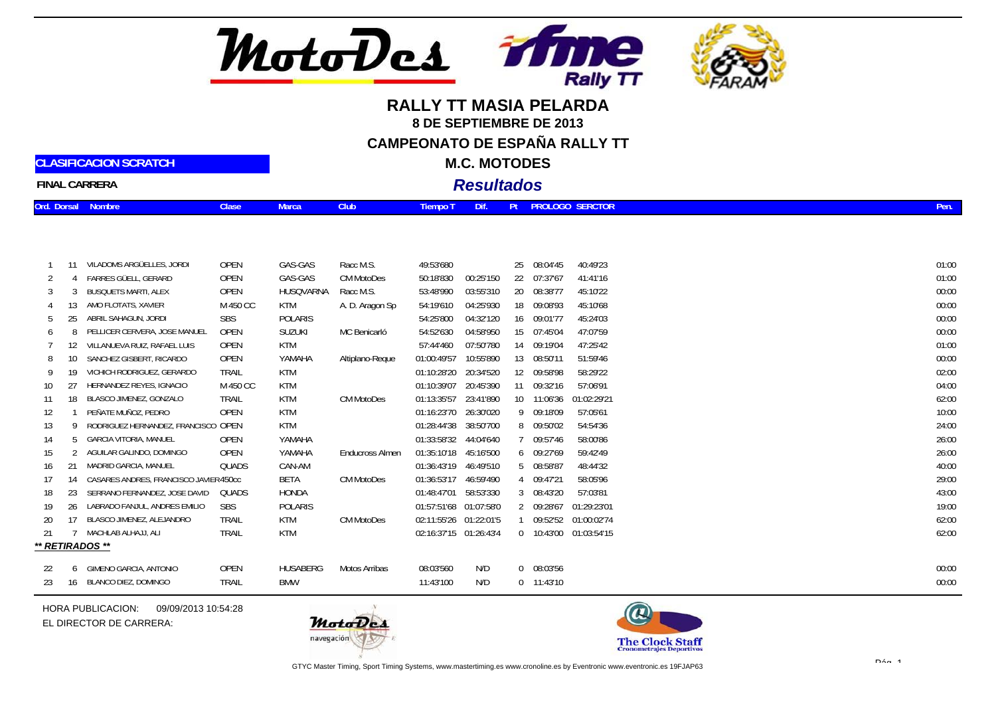

# **RALLY TT MASIA PELARDA8 DE SEPTIEMBRE DE 2013CAMPEONATO DE ESPAÑA RALLY TT**

**M.C. MOTODES**

**FINAL CARRERA**

**CLASIFICACION SCRATCH**

### *Resultados*

| Ord. Dorsal Nombre | <b>Clase</b> | <b>Marca</b> | <b>Club</b> | Tiempo T Dif. |  | Pt PROLOGO SERCTOR |  |  |
|--------------------|--------------|--------------|-------------|---------------|--|--------------------|--|--|
|                    |              |              |             |               |  |                    |  |  |

|     |    | VILADOMS ARGÜELLES, JORDI             | OPEN         | GAS-GAS         | Racc M.S.              | 49:53'680              |            | 25 08:04'45    | 40:49'23               | 01:00 |
|-----|----|---------------------------------------|--------------|-----------------|------------------------|------------------------|------------|----------------|------------------------|-------|
|     |    | FARRES GÜELL, GERARD                  | OPEN         | GAS-GAS         | <b>CM MotoDes</b>      | 50:18'830              | 00:25'150  | 22 07:37'67    | 41:41'16               | 01:00 |
|     |    | <b>BUSQUETS MARTI, ALEX</b>           | OPEN         | HUSQVARNA       | Racc M.S.              | 53:48'990              | 03:55'310  | 20 08:38'77    | 45:10'22               | 00:00 |
|     |    | AMO FLOTATS, XAVIER                   | M 450 CC     | KTM             | A. D. Aragon Sp        | 54:19'610              | 04:25'930  | 18 09:08'93    | 45:10'68               | 00:00 |
| 5   |    | ABRIL SAHAGUN, JORDI                  | <b>SBS</b>   | <b>POLARIS</b>  |                        | 54:25'800              | 04:32'120  | 16 09:01'77    | 45:24'03               | 00:00 |
| 6   |    | PELLICER CERVERA, JOSE MANUEL         | OPEN         | <b>SUZUKI</b>   | MC Benicarló           | 54:52'630              | 04:58'950  | 15 07:45'04    | 47:07'59               | 00:00 |
|     |    | VILLANUEVA RUIZ, RAFAEL LUIS          | OPEN         | KTM             |                        | 57:44'460              | 07:50'780  | 14 09:19'04    | 47:25'42               | 01:00 |
| 8   |    | SANCHEZ GISBERT, RICARDO              | OPEN         | YAMAHA          | Altiplano-Reque        | 01:00:49'57            | 10:55'890  | 13 08:50'11    | 51:59'46               | 00:00 |
| 9   |    | VICHICH RODRIGUEZ, GERARDO            | TRAIL        | <b>KTM</b>      |                        | 01:10:28'20            | 20:34'520  | 12 09:58'98    | 58:29'22               | 02:00 |
| 10  |    | HERNANDEZ REYES, IGNACIO              | M 450 CC     | <b>KTM</b>      |                        | 01:10:39'07            | 20:45'390  | 11 09:32'16    | 57:06'91               | 04:00 |
| -11 | 18 | BLASCO JIMENEZ, GONZALO               | <b>TRAIL</b> | <b>KTM</b>      | <b>CM MotoDes</b>      | 01:13:35'57            | 23:41'890  | 10 11:06'36    | 01:02:29'21            | 62:00 |
| 12  |    | PEÑATE MUÑOZ, PEDRO                   | <b>OPEN</b>  | <b>KTM</b>      |                        | 01:16:23'70            | 26:30'020  | 9 09:18'09     | 57:05'61               | 10:00 |
| 13  |    | RODRIGUEZ HERNANDEZ, FRANCISCO OPEN   |              | <b>KTM</b>      |                        | 01:28:44'38            | 38:50'700  | 8 09:50'02     | 54:54'36               | 24:00 |
| 14  | 5  | GARCIA VITORIA, MANUEL                | OPEN         | YAMAHA          |                        | 01:33:58'32            | 44:04'640  | 7 09:57'46     | 58:00'86               | 26:00 |
| 15  |    | AGUILAR GALINDO, DOMINGO              | OPEN         | YAMAHA          | <b>Enducross Almen</b> | 01:35:10'18            | 45:16'500  | 6 09:27'69     | 59:42'49               | 26:00 |
| 16  | 21 | MADRID GARCIA, MANUEL                 | QUADS        | CAN-AM          |                        | 01:36:43'19            | 46:49'510  | 5 08:58'87     | 48:44'32               | 40:00 |
| 17  |    | CASARES ANDRES, FRANCISCO JAVIER450cc |              | BETA            | <b>CM MotoDes</b>      | 01:36:53'17            | 46:59'490  | 4 09:47'21     | 58:05'96               | 29:00 |
| 18  | 23 | SERRANO FERNANDEZ, JOSE DAVID         | OUADS        | <b>HONDA</b>    |                        | 01:48:47'01            | 58:53'330  | 3 08:43'20     | 57:03'81               | 43:00 |
| 19  | 26 | LABRADO FANJUL, ANDRES EMILIO         | <b>SBS</b>   | <b>POLARIS</b>  |                        | 01:57:51'68            | 01:07:58'0 | 2 09:28'67     | 01:29:23'01            | 19:00 |
| 20  |    | BLASCO JIMENEZ, ALEJANDRO             | TRAIL        | KTM             | <b>CM MotoDes</b>      | 02:11:55'26            | 01:22:01'5 | 09:52'52       | 01:00:02'74            | 62:00 |
| 21  |    | MACHLAB ALHAJJ, ALI                   | <b>TRAIL</b> | <b>KTM</b>      |                        | 02:16:37'15 01:26:43'4 |            |                | 0 10:43'00 01:03:54'15 | 62:00 |
|     |    | ** RETIRADOS **                       |              |                 |                        |                        |            |                |                        |       |
|     |    |                                       |              |                 |                        |                        |            |                |                        |       |
| 22  |    | 6 GIMENO GARCIA, ANTONIO              | <b>OPEN</b>  | <b>HUSABERG</b> | Motos Arribas          | 08:03'560              | N/D        | $0$ $08:03'56$ |                        | 00:00 |
| 23  |    | 16 BLANCO DIEZ, DOMINGO               | TRAIL        | <b>BMW</b>      |                        | 11:43'100              | N/D        | $0$ 11:43'10   |                        | 00:00 |

HORA PUBLICACION:09/09/2013 10:54:28EL DIRECTOR DE CARRERA:



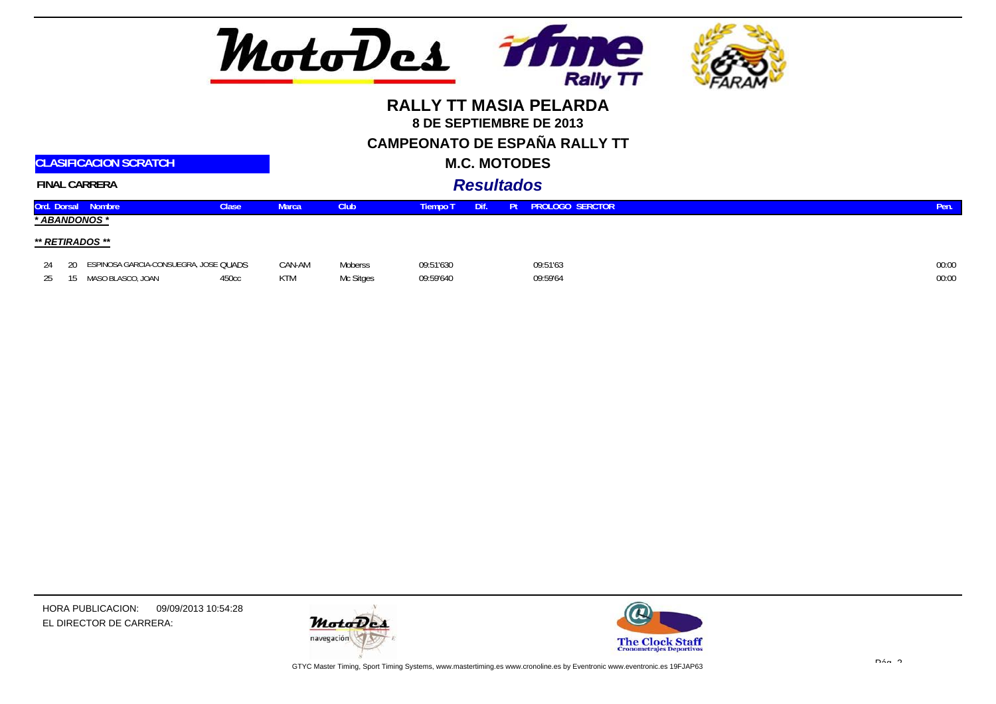

**CAMPEONATO DE ESPAÑA RALLY TT**

 **M.C. MOTODES***Resultados*

|  | <b>FINAL CARRERA</b> |  |
|--|----------------------|--|

**CLASIFICACION SCRATCH**

|    | Ord. Dorsal Nombre                       | <b>Clase</b> | Marca      | Club <sub></sub> | Tiempo T  | Dif. | Pt | <b>PROLOGO SERCTOR</b> | Pen.  |
|----|------------------------------------------|--------------|------------|------------------|-----------|------|----|------------------------|-------|
|    | * ABANDONOS *                            |              |            |                  |           |      |    |                        |       |
|    | ** RETIRADOS **                          |              |            |                  |           |      |    |                        |       |
| 24 | 20 ESPINOSA GARCIA-CONSUEGRA, JOSE QUADS |              | CAN-AM     | Moberss          | 09:51'630 |      |    | 09:51'63               | 00:00 |
|    | MASO BLASCO, JOAN                        | 450cc        | <b>KTM</b> | Mc Sitges        | 09:59'640 |      |    | 09:59'64               | 00:00 |



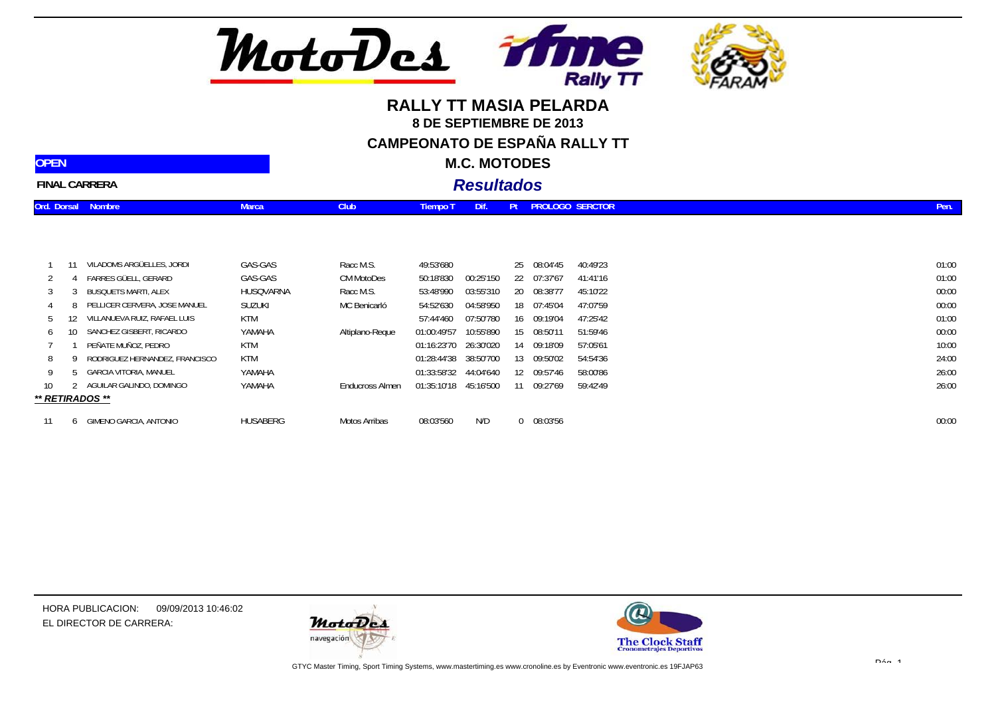

# **RALLY TT MASIA PELARDA8 DE SEPTIEMBRE DE 2013CAMPEONATO DE ESPAÑA RALLY TT**

**M.C. MOTODES**

|  | <b>FINAL CARRERA</b> |
|--|----------------------|
|--|----------------------|

**Ord. Dorsal Nombre Marca Club**

**OPEN**

### *Resultados***Tiempo T Dif. Pt SERCTOR PROLOGO Pen.**

|    | 11  | VILADOMS ARGÜELLES, JORDI      | GAS-GAS       | Racc M.S.         | 49:53'680   |           | 25       | 08:04'45 | 40:49'23 | 01:00 |
|----|-----|--------------------------------|---------------|-------------------|-------------|-----------|----------|----------|----------|-------|
|    |     | FARRES GÜELL, GERARD           | GAS-GAS       | <b>CM MotoDes</b> | 50:18'830   | 00:25'150 | 22       | 07:37'67 | 41:41'16 | 01:00 |
|    |     | BUSQUETS MARTI, ALEX           | HUSQVARNA     | Racc M.S.         | 53:48'990   | 03:55'310 | 20       | 08:38'77 | 45:10'22 | 00:00 |
|    |     | PELLICER CERVERA, JOSE MANUEL  | <b>SUZUKI</b> | MC Benicarló      | 54:52'630   | 04:58'950 | 18       | 07:45'04 | 47:07'59 | 00:00 |
| h  | 12. | VILLANUEVA RUIZ, RAFAEL LUIS   | KTM           |                   | 57:44'460   | 07:50'780 | 16       | 09:19'04 | 47:25'42 | 01:00 |
| 6  | 10- | SANCHEZ GISBERT, RICARDO       | YAMAHA        | Altiplano-Reque   | 01:00:49'57 | 10:55'890 | 15       | 08:50'11 | 51:59'46 | 00:00 |
|    |     | PEÑATE MUÑOZ, PEDRO            | KTM           |                   | 01:16:23'70 | 26:30'020 | 14       | 09:18'09 | 57:05'61 | 10:00 |
| 8  |     | RODRIGUEZ HERNANDEZ, FRANCISCO | KTM           |                   | 01:28:44'38 | 38:50'700 | 13       | 09:50'02 | 54:54'36 | 24:00 |
| 9  |     | GARCIA VITORIA, MANUEL         | YAMAHA        |                   | 01:33:58'32 | 44:04'640 | 12       | 09:57'46 | 58:00'86 | 26:00 |
| 10 |     | AGUILAR GALINDO, DOMINGO       | YAMAHA        | Enducross Almen   | 01:35:10'18 | 45:16'500 | 11       | 09:27'69 | 59:42'49 | 26:00 |
|    |     | ** RETIRADOS **                |               |                   |             |           |          |          |          |       |
| 11 |     | GIMENO GARCIA, ANTONIO         | HUSABERG      | Motos Arribas     | 08:03'560   | N/D       | $\Omega$ | 08:03'56 |          | 00:00 |

HORA PUBLICACION: 09/09/2013 10:46:02EL DIRECTOR DE CARRERA:



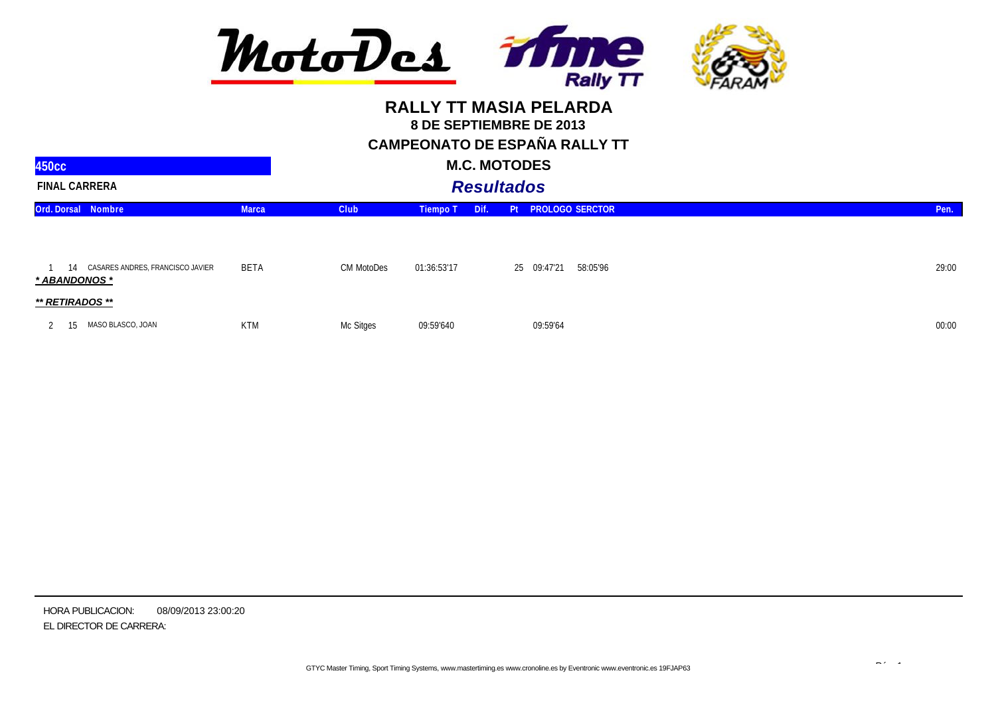

**CAMPEONATO DE ESPAÑA RALLY TT**

| 450 <sub>cc</sub>                                    |              |             |                 | <b>M.C. MOTODES</b> |    |                         |       |
|------------------------------------------------------|--------------|-------------|-----------------|---------------------|----|-------------------------|-------|
| <b>FINAL CARRERA</b>                                 |              |             |                 | <b>Resultados</b>   |    |                         |       |
| Ord. Dorsal Nombre                                   | <b>Marca</b> | <b>Club</b> | <b>Tiempo T</b> | Dif.                | Pt | <b>PROLOGO SERCTOR</b>  | Pen.  |
| 14 CASARES ANDRES, FRANCISCO JAVIER<br>* ABANDONOS * | BETA         | CM MotoDes  | 01:36:53'17     |                     |    | 58:05'96<br>25 09:47'21 | 29:00 |
| ** RETIRADOS **                                      |              |             |                 |                     |    |                         |       |
| MASO BLASCO, JOAN                                    | <b>KTM</b>   | Mc Sitges   | 09:59'640       |                     |    | 09:59'64                | 00:00 |

HORA PUBLICACION: EL DIRECTOR DE CARRERA: 08/09/2013 23:00:20

 $\mathbb{R}^n$  1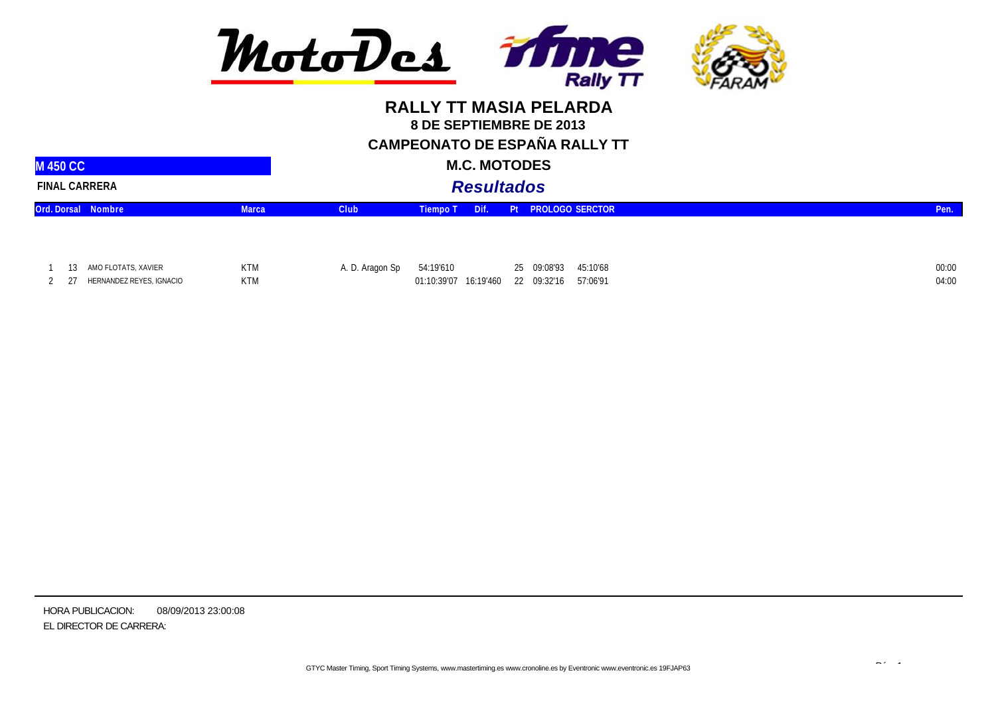

**CAMPEONATO DE ESPAÑA RALLY TT**

|  | <b>M.C. MOTODES</b> |
|--|---------------------|
|--|---------------------|

| <b>M 450 CC</b>      |                           |              |                 |           | <b>M.C. MOTODES</b> |  |                                               |       |
|----------------------|---------------------------|--------------|-----------------|-----------|---------------------|--|-----------------------------------------------|-------|
| <b>FINAL CARRERA</b> |                           |              |                 |           | <b>Resultados</b>   |  |                                               |       |
|                      | <b>Ord. Dorsal Nombre</b> | <b>Marca</b> | <b>Club</b>     | Tiempo T  | Dif.                |  | <b>Pt PROLOGO SERCTOR</b>                     | Pen.  |
|                      |                           |              |                 |           |                     |  |                                               |       |
|                      | 13 AMO FLOTATS, XAVIER    | <b>KTM</b>   | A. D. Aragon Sp | 54:19'610 |                     |  | 25 09:08'93<br>45:10'68                       | 00:00 |
| 21                   | HERNANDEZ REYES, IGNACIO  | <b>KTM</b>   |                 |           |                     |  | 01:10:39'07 16:19'460 22 09:32'16<br>57:06'91 | 04:00 |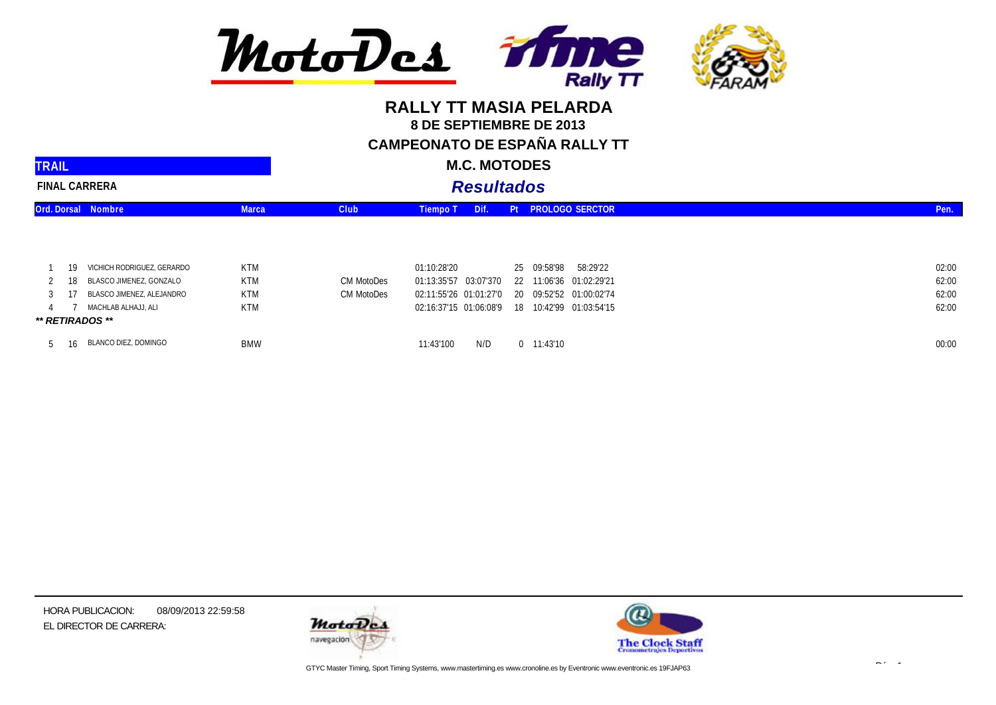

#### **RALLY TT MASIA PELARDA 8 DE SEPTIEMBRE DE 2013 CAMPEONATO DE ESPAÑA RALLY TT**

| <b>TRAIL</b>         |     |                            |              |             | <b>M.C. MOTODES</b>   |                                                |       |
|----------------------|-----|----------------------------|--------------|-------------|-----------------------|------------------------------------------------|-------|
| <b>FINAL CARRERA</b> |     |                            |              |             | <b>Resultados</b>     |                                                |       |
|                      |     | Ord. Dorsal Nombre         | <b>Marca</b> | <b>Club</b> | Dif.<br>Tiempo T      | Pt PROLOGO SERCTOR                             | Pen.  |
|                      |     |                            |              |             |                       |                                                |       |
|                      | 19  | VICHICH RODRIGUEZ, GERARDO | <b>KTM</b>   |             | 01:10:28'20           | 25 09:58'98<br>58:29'22                        | 02:00 |
|                      | 18. | BLASCO JIMENEZ, GONZALO    | <b>KTM</b>   | CM MotoDes  | 01:13:35'57 03:07'370 | 22 11:06'36 01:02:29'21                        | 62:00 |
|                      |     | BLASCO JIMENEZ, ALEJANDRO  | <b>KTM</b>   | CM MotoDes  |                       | 02:11:55'26 01:01:27'0 20 09:52'52 01:00:02'74 | 62:00 |
|                      |     | MACHLAB ALHAJJ, ALI        | <b>KTM</b>   |             |                       | 02:16:37'15 01:06:08'9 18 10:42'99 01:03:54'15 | 62:00 |
|                      |     | ** RETIRADOS **            |              |             |                       |                                                |       |
|                      | 16. | BLANCO DIEZ, DOMINGO       | <b>BMW</b>   |             | N/D<br>11:43'100      | $0$ 11:43'10                                   | 00:00 |

HORA PUBLICACION: EL DIRECTOR DE CARRERA: 08/09/2013 22:59:58





 $\mathbb{R}^n$  1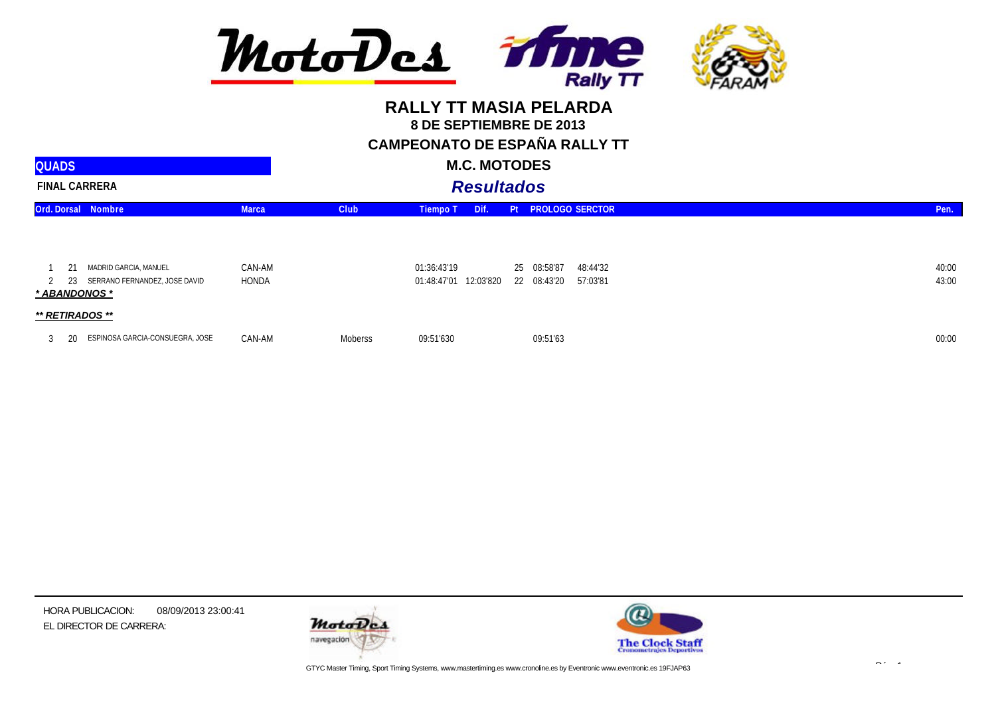

**CAMPEONATO DE ESPAÑA RALLY TT**

| <b>QUADS</b>             |                                                        |                 |             | <b>M.C. MOTODES</b>                     |    |                            |                        |                |
|--------------------------|--------------------------------------------------------|-----------------|-------------|-----------------------------------------|----|----------------------------|------------------------|----------------|
|                          | <b>FINAL CARRERA</b>                                   |                 |             | <b>Resultados</b>                       |    |                            |                        |                |
|                          | Ord. Dorsal Nombre                                     | <b>Marca</b>    | <b>Club</b> | <b>Tiempo T</b><br>Dif.                 | Pt |                            | <b>PROLOGO SERCTOR</b> | Pen.           |
|                          |                                                        |                 |             |                                         |    |                            |                        |                |
| 2<br>23<br>* ABANDONOS * | MADRID GARCIA, MANUEL<br>SERRANO FERNANDEZ, JOSE DAVID | CAN-AM<br>HONDA |             | 01:36:43'19<br>12:03'820<br>01:48:47'01 |    | 25 08:58'87<br>22 08:43'20 | 48:44'32<br>57:03'81   | 40:00<br>43:00 |
| ** RETIRADOS **          |                                                        |                 |             |                                         |    |                            |                        |                |
| 3.                       | ESPINOSA GARCIA-CONSUEGRA, JOSE                        | CAN-AM          | Moberss     | 09:51'630                               |    | 09:51'63                   |                        | 00:00          |

HORA PUBLICACION: EL DIRECTOR DE CARRERA: 08/09/2013 23:00:41





 $\mathbb{R}^n$  1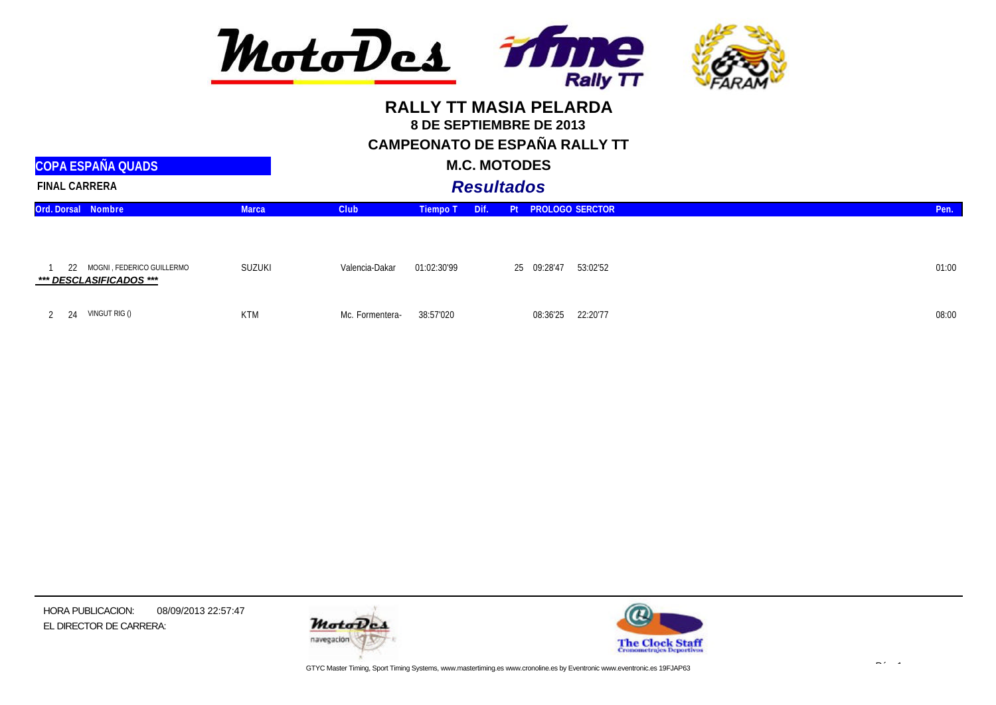

**CAMPEONATO DE ESPAÑA RALLY TT**

| <b>M.C. MOTODES</b> |  |
|---------------------|--|
|---------------------|--|

| <b>COPA ESPAÑA QUADS</b>                                   |              |                 | <b>M.C. MOTODES</b> |                   |             |                        |       |
|------------------------------------------------------------|--------------|-----------------|---------------------|-------------------|-------------|------------------------|-------|
| <b>FINAL CARRERA</b>                                       |              |                 |                     | <b>Resultados</b> |             |                        |       |
| Ord. Dorsal Nombre                                         | <b>Marca</b> | <b>Club</b>     | <b>Tiempo T</b>     | Dif.              | Pt          | <b>PROLOGO SERCTOR</b> | Pen.  |
| MOGNI, FEDERICO GUILLERMO<br>22<br>*** DESCLASIFICADOS *** | SUZUKI       | Valencia-Dakar  | 01:02:30'99         |                   | 25 09:28'47 | 53:02'52               | 01:00 |
| VINGUT RIG ()                                              | <b>KTM</b>   | Mc. Formentera- | 38:57'020           |                   | 08:36'25    | 22:20'77               | 08:00 |

HORA PUBLICACION: EL DIRECTOR DE CARRERA: 08/09/2013 22:57:47





 $\mathbb{R}^n$  1